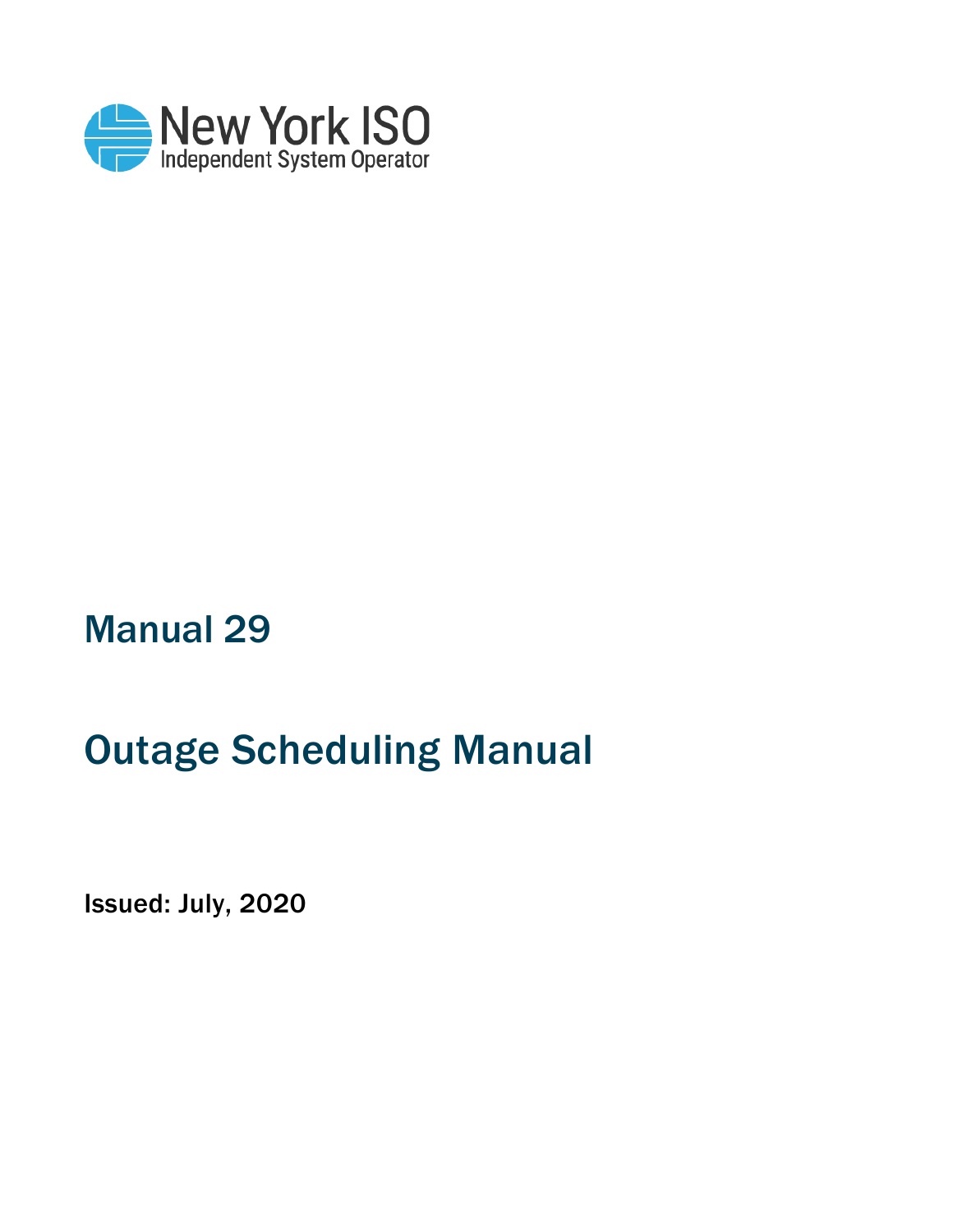

# Manual 29

# Outage Scheduling Manual

Issued: July, 2020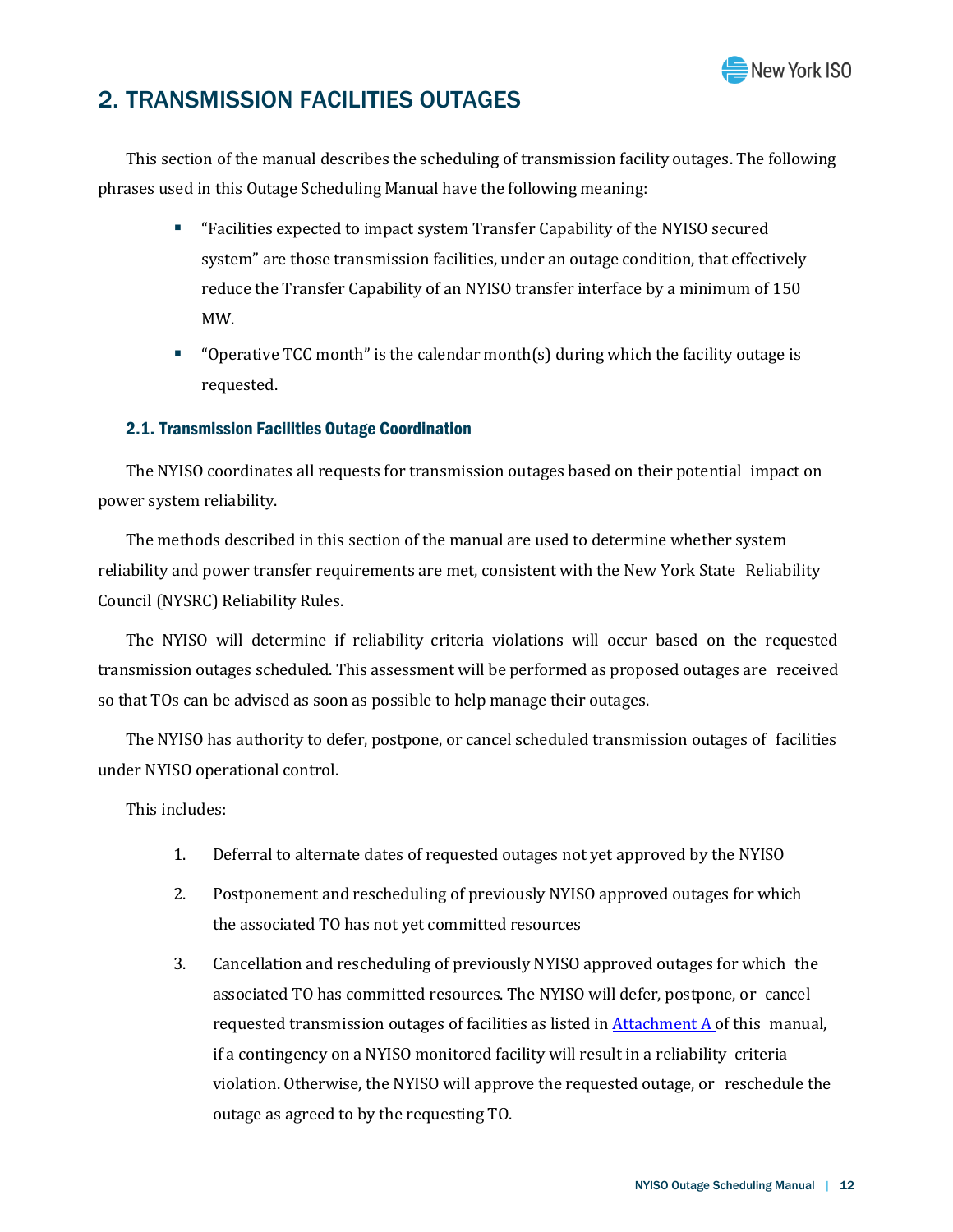

## 2. TRANSMISSION FACILITIES OUTAGES

This section of the manual describes the scheduling of transmission facility outages. The following phrases used in this Outage Scheduling Manual have the following meaning:

- "Facilities expected to impact system Transfer Capability of the NYISO secured system" are those transmission facilities, under an outage condition, that effectively reduce the Transfer Capability of an NYISO transfer interface by a minimum of 150 MW.
- " "Operative TCC month" is the calendar month(s) during which the facility outage is requested.

## 2.1. Transmission Facilities Outage Coordination

The NYISO coordinates all requests for transmission outages based on their potential impact on power system reliability.

The methods described in this section of the manual are used to determine whether system reliability and power transfer requirements are met, consistent with the New York State Reliability Council (NYSRC) Reliability Rules.

The NYISO will determine if reliability criteria violations will occur based on the requested transmission outages scheduled. This assessment will be performed as proposed outages are received so that TOs can be advised as soon as possible to help manage their outages.

The NYISO has authority to defer, postpone, or cancel scheduled transmission outages of facilities under NYISO operational control.

This includes:

- 1. Deferral to alternate dates of requested outages not yet approved by the NYISO
- 2. Postponement and rescheduling of previously NYISO approved outages for which the associated TO has not yet committed resources
- 3. Cancellation and rescheduling of previously NYISO approved outages for which the associated TO has committed resources. The NYISO will defer, postpone, or cancel requested transmission outages of facilities as listed i[n Attachment](#page--1-0) A of this manual, if a contingency on a NYISO monitored facility will result in a reliability criteria violation. Otherwise, the NYISO will approve the requested outage, or reschedule the outage as agreed to by the requesting TO.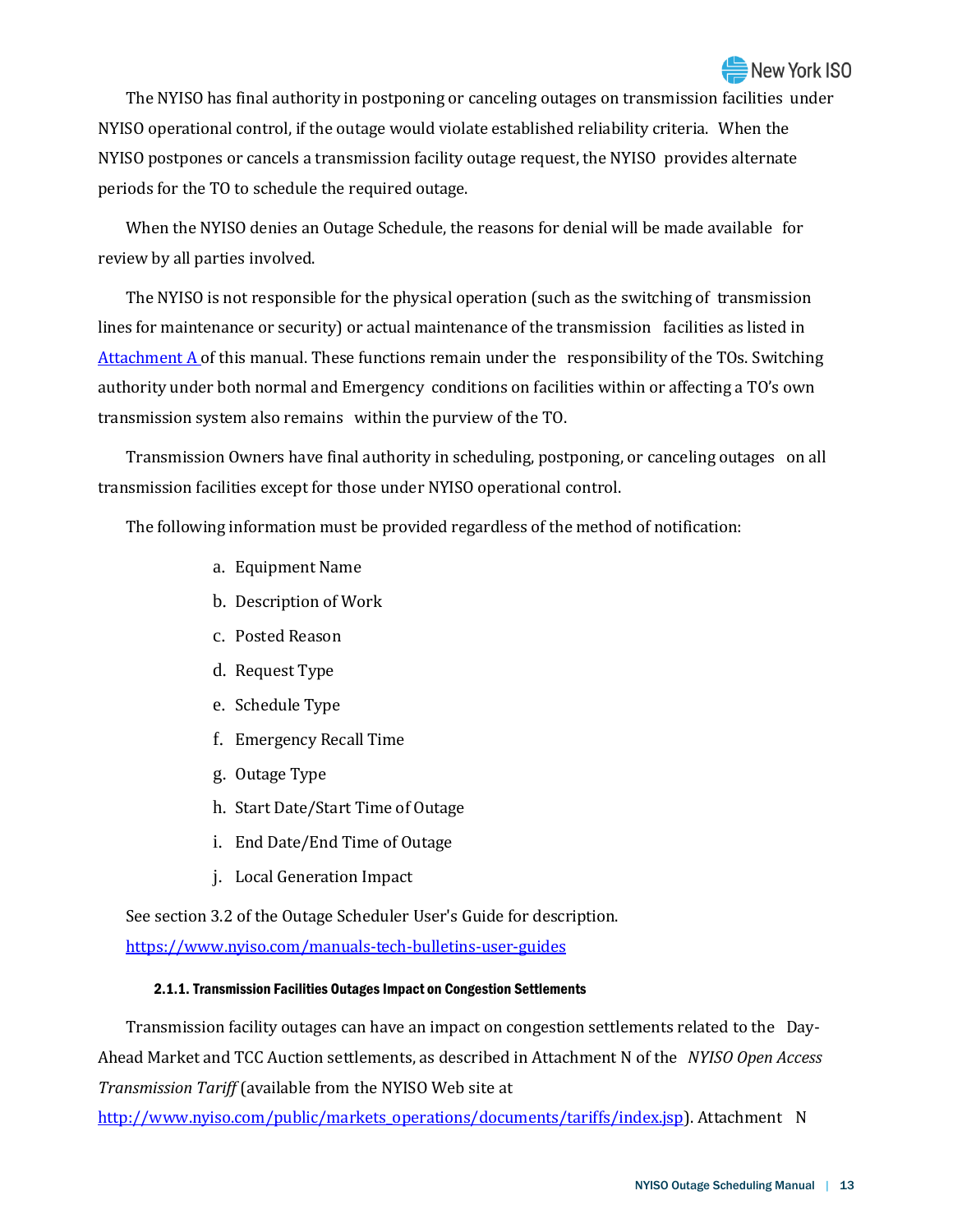## **New York ISO**

The NYISO has final authority in postponing or canceling outages on transmission facilities under NYISO operational control, if the outage would violate established reliability criteria. When the NYISO postpones or cancels a transmission facility outage request, the NYISO provides alternate periods for the TO to schedule the required outage.

When the NYISO denies an Outage Schedule, the reasons for denial will be made available for review by all parties involved.

The NYISO is not responsible for the physical operation (such as the switching of transmission lines for maintenance or security) or actual maintenance of the transmission facilities as listed in [Attachment](#page--1-0)  $\overline{A}$  of this manual. These functions remain under the responsibility of the TOs. Switching authority under both normal and Emergency conditions on facilities within or affecting a TO's own transmission system also remains within the purview of the TO.

Transmission Owners have final authority in scheduling, postponing, or canceling outages on all transmission facilities except for those under NYISO operational control.

The following information must be provided regardless of the method of notification:

- a. Equipment Name
- b. Description of Work
- c. Posted Reason
- d. Request Type
- e. Schedule Type
- f. Emergency Recall Time
- g. Outage Type
- h. Start Date/Start Time of Outage
- i. End Date/End Time of Outage
- j. Local Generation Impact

See section 3.2 of the Outage Scheduler User's Guide for description. <https://www.nyiso.com/manuals-tech-bulletins-user-guides>

#### 2.1.1. Transmission Facilities Outages Impact on Congestion Settlements

Transmission facility outages can have an impact on congestion settlements related to the Day-Ahead Market and TCC Auction settlements, as described in Attachment N of the *NYISO Open Access Transmission Tariff* (available from the NYISO Web site at

[http://www.nyiso.com/public/markets\\_operations/documents/tariffs/index.jsp\)](http://www.nyiso.com/public/markets_operations/documents/tariffs/index.jsp). Attachment N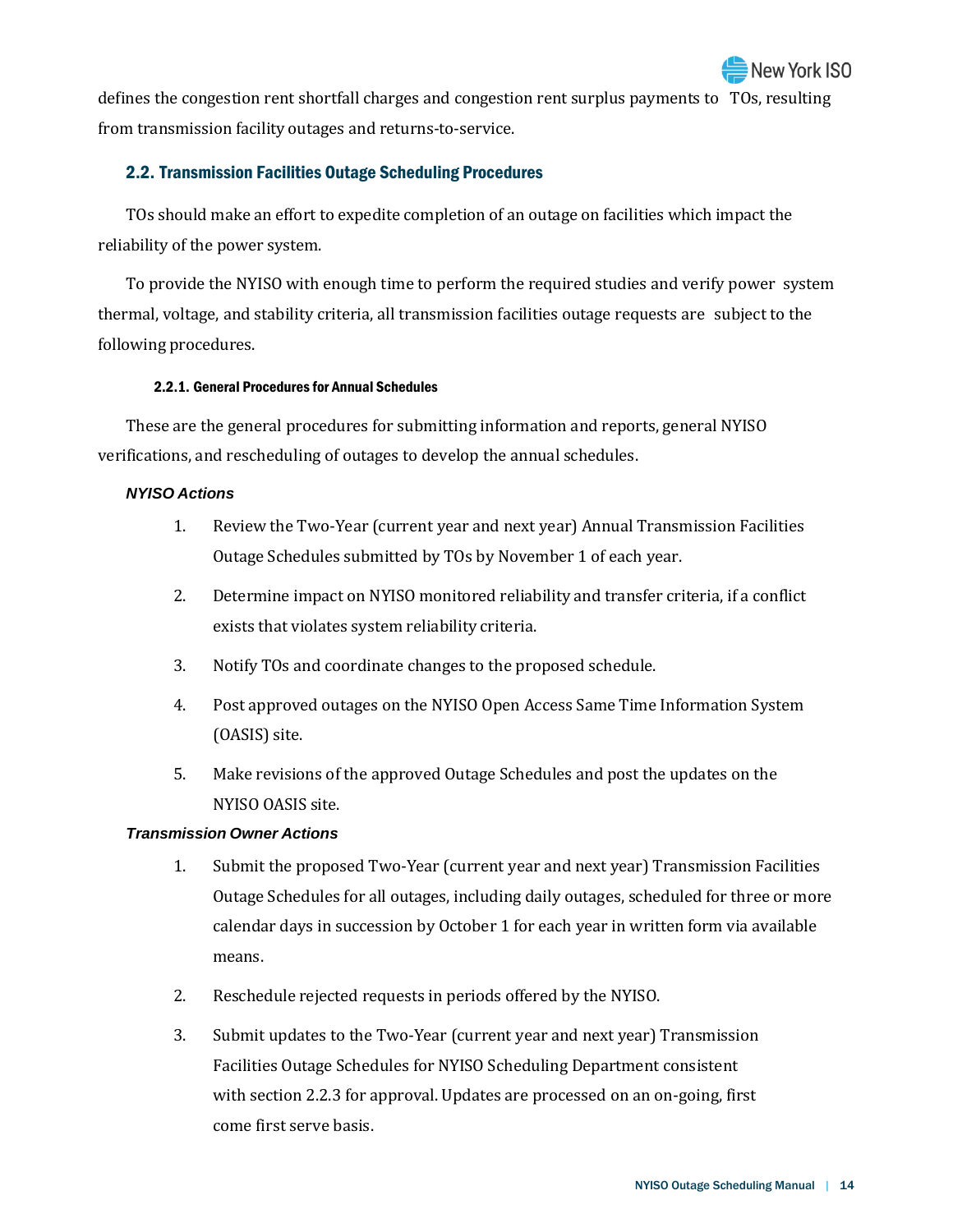defines the congestion rent shortfall charges and congestion rent surplus payments to TOs, resulting from transmission facility outages and returns-to-service.

## 2.2. Transmission Facilities Outage Scheduling Procedures

TOs should make an effort to expedite completion of an outage on facilities which impact the reliability of the power system.

To provide the NYISO with enough time to perform the required studies and verify power system thermal, voltage, and stability criteria, all transmission facilities outage requests are subject to the following procedures.

## 2.2.1. General Procedures for Annual Schedules

These are the general procedures for submitting information and reports, general NYISO verifications, and rescheduling of outages to develop the annual schedules.

## *NYISO Actions*

- 1. Review the Two-Year (current year and next year) Annual Transmission Facilities Outage Schedules submitted by TOs by November 1 of each year.
- 2. Determine impact on NYISO monitored reliability and transfer criteria, if a conflict exists that violates system reliability criteria.
- 3. Notify TOs and coordinate changes to the proposed schedule.
- 4. Post approved outages on the NYISO Open Access Same Time Information System (OASIS) site.
- 5. Make revisions of the approved Outage Schedules and post the updates on the NYISO OASIS site.

## *Transmission Owner Actions*

- 1. Submit the proposed Two-Year (current year and next year) Transmission Facilities Outage Schedules for all outages, including daily outages, scheduled for three or more calendar days in succession by October 1 for each year in written form via available means.
- 2. Reschedule rejected requests in periods offered by the NYISO.
- 3. Submit updates to the Two-Year (current year and next year) Transmission Facilities Outage Schedules for NYISO Scheduling Department consistent with section 2.2.3 for approval. Updates are processed on an on-going, first come first serve basis.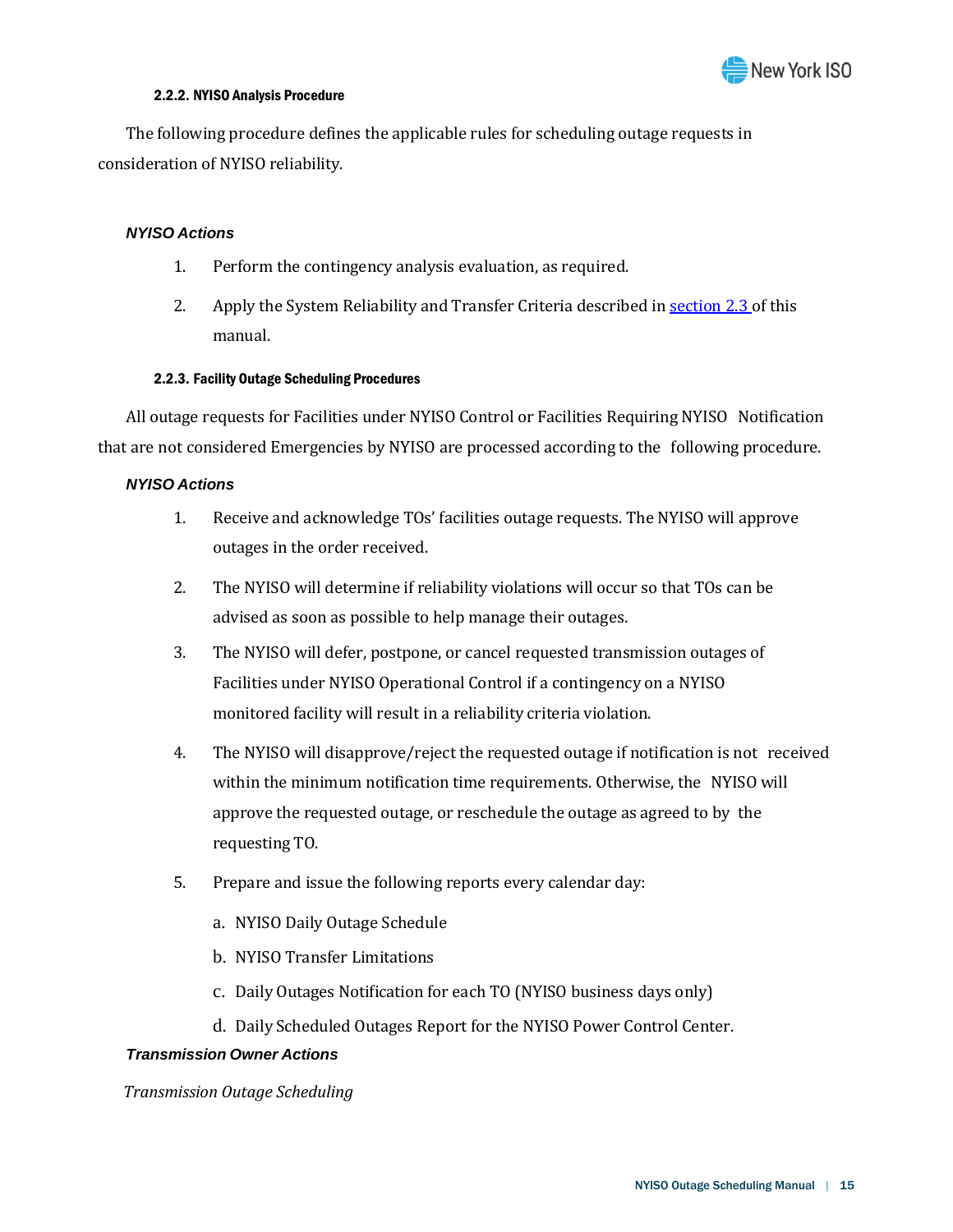

#### 2.2.2. NYISO Analysis Procedure

The following procedure defines the applicable rules for scheduling outage requests in consideration of NYISO reliability.

#### *NYISO Actions*

- 1. Perform the contingency analysis evaluation, as required.
- 2. Apply the System Reliability and Transfer Criteria described i[n section](#page-14-0) 2.3 of this manual.

#### 2.2.3. Facility Outage Scheduling Procedures

All outage requests for Facilities under NYISO Control or Facilities Requiring NYISO Notification that are not considered Emergencies by NYISO are processed according to the following procedure.

## *NYISO Actions*

- 1. Receive and acknowledge TOs' facilities outage requests. The NYISO will approve outages in the order received.
- 2. The NYISO will determine if reliability violations will occur so that TOs can be advised as soon as possible to help manage their outages.
- 3. The NYISO will defer, postpone, or cancel requested transmission outages of Facilities under NYISO Operational Control if a contingency on a NYISO monitored facility will result in a reliability criteria violation.
- 4. The NYISO will disapprove/reject the requested outage if notification is not received within the minimum notification time requirements. Otherwise, the NYISO will approve the requested outage, or reschedule the outage as agreed to by the requesting TO.
- 5. Prepare and issue the following reports every calendar day:
	- a. NYISO Daily Outage Schedule
	- b. NYISO Transfer Limitations
	- c. Daily Outages Notification for each TO (NYISO business days only)
	- d. Daily Scheduled Outages Report for the NYISO Power Control Center.

#### *Transmission Owner Actions*

*Transmission Outage Scheduling*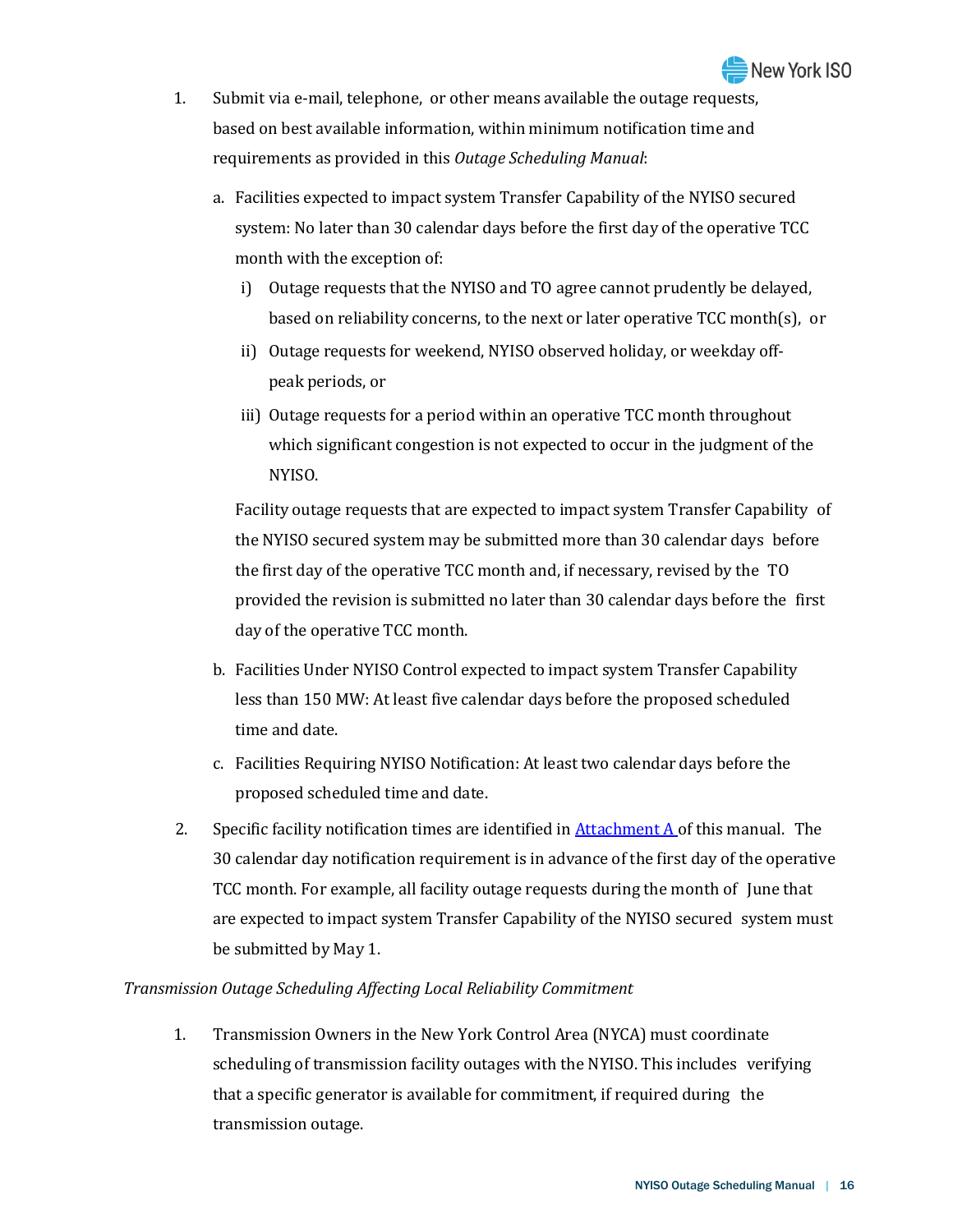- 1. Submit via e-mail, telephone, or other means available the outage requests, based on best available information, within minimum notification time and requirements as provided in this *Outage Scheduling Manual*:
	- a. Facilities expected to impact system Transfer Capability of the NYISO secured system: No later than 30 calendar days before the first day of the operative TCC month with the exception of:
		- i) Outage requests that the NYISO and TO agree cannot prudently be delayed, based on reliability concerns, to the next or later operative TCC month(s), or
		- ii) Outage requests for weekend, NYISO observed holiday, or weekday offpeak periods, or
		- iii) Outage requests for a period within an operative TCC month throughout which significant congestion is not expected to occur in the judgment of the NYISO.

Facility outage requests that are expected to impact system Transfer Capability of the NYISO secured system may be submitted more than 30 calendar days before the first day of the operative TCC month and, if necessary, revised by the TO provided the revision is submitted no later than 30 calendar days before the first day of the operative TCC month.

- b. Facilities Under NYISO Control expected to impact system Transfer Capability less than 150 MW: At least five calendar days before the proposed scheduled time and date.
- c. Facilities Requiring NYISO Notification: At least two calendar days before the proposed scheduled time and date.
- 2. Specific facility notification times are identified in  $Attention A of this manual. The$ </u> 30 calendar day notification requirement is in advance of the first day of the operative TCC month. For example, all facility outage requests during the month of June that are expected to impact system Transfer Capability of the NYISO secured system must be submitted by May 1.

## *Transmission Outage Scheduling Affecting Local Reliability Commitment*

1. Transmission Owners in the New York Control Area (NYCA) must coordinate scheduling of transmission facility outages with the NYISO. This includes verifying that a specific generator is available for commitment, if required during the transmission outage.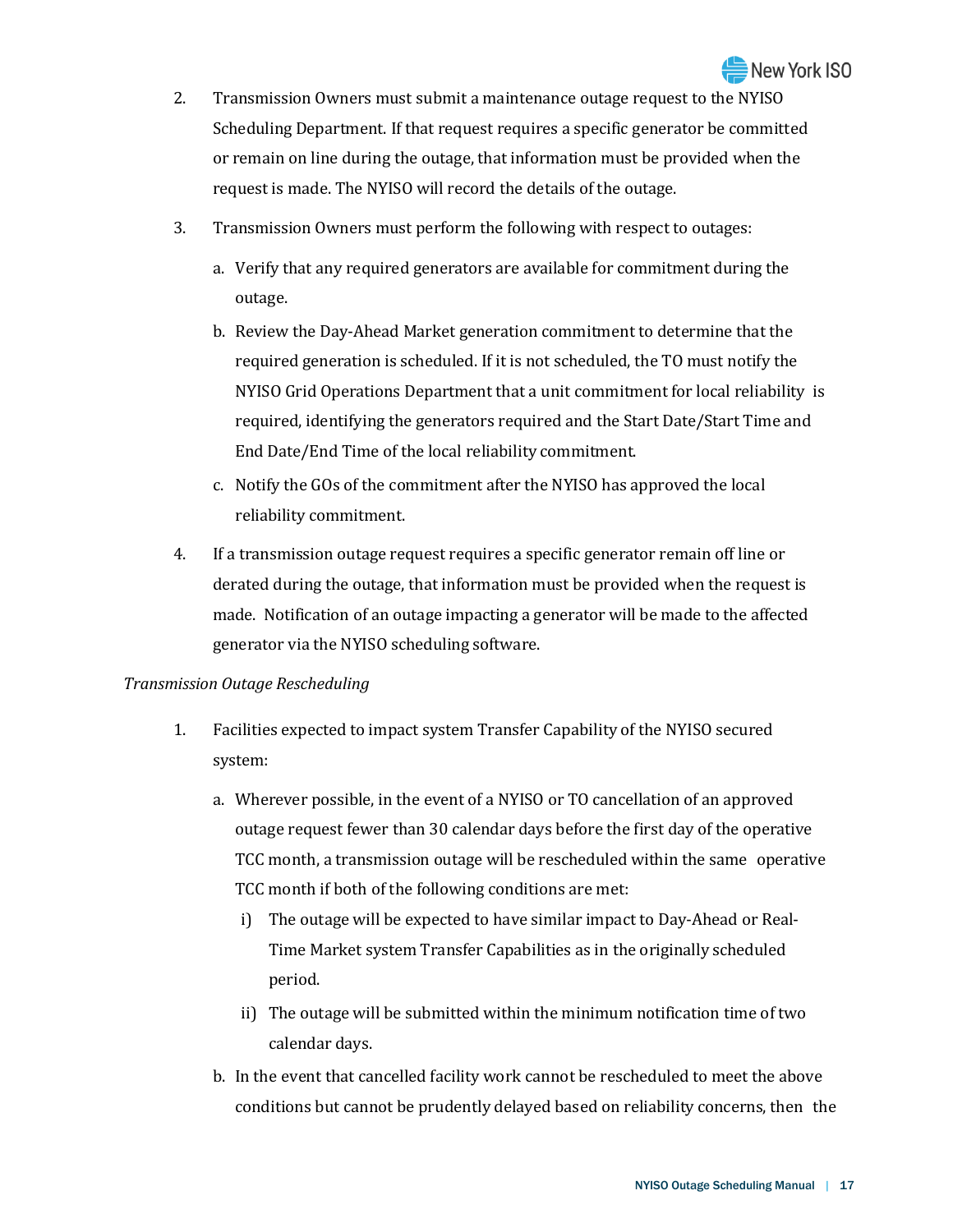- 2. Transmission Owners must submit a maintenance outage request to the NYISO Scheduling Department. If that request requires a specific generator be committed or remain on line during the outage, that information must be provided when the request is made. The NYISO will record the details of the outage.
- 3. Transmission Owners must perform the following with respect to outages:
	- a. Verify that any required generators are available for commitment during the outage.
	- b. Review the Day-Ahead Market generation commitment to determine that the required generation is scheduled. If it is not scheduled, the TO must notify the NYISO Grid Operations Department that a unit commitment for local reliability is required, identifying the generators required and the Start Date/Start Time and End Date/End Time of the local reliability commitment.
	- c. Notify the GOs of the commitment after the NYISO has approved the local reliability commitment.
- 4. If a transmission outage request requires a specific generator remain off line or derated during the outage, that information must be provided when the request is made. Notification of an outage impacting a generator will be made to the affected generator via the NYISO scheduling software.

## *Transmission Outage Rescheduling*

- 1. Facilities expected to impact system Transfer Capability of the NYISO secured system:
	- a. Wherever possible, in the event of a NYISO or TO cancellation of an approved outage request fewer than 30 calendar days before the first day of the operative TCC month, a transmission outage will be rescheduled within the same operative TCC month if both of the following conditions are met:
		- i) The outage will be expected to have similar impact to Day-Ahead or Real-Time Market system Transfer Capabilities as in the originally scheduled period.
		- ii) The outage will be submitted within the minimum notification time of two calendar days.
	- b. In the event that cancelled facility work cannot be rescheduled to meet the above conditions but cannot be prudently delayed based on reliability concerns, then the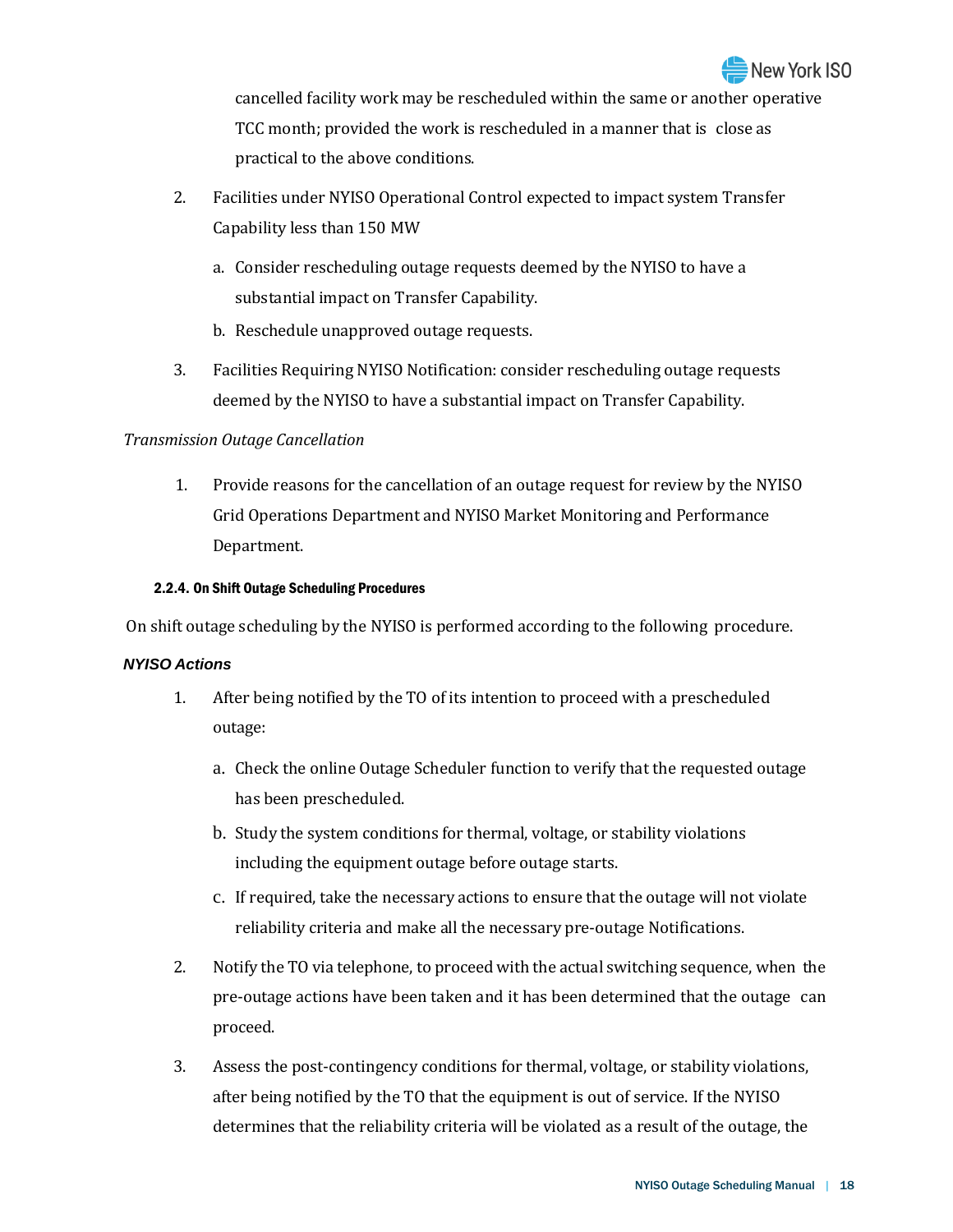

cancelled facility work may be rescheduled within the same or another operative TCC month; provided the work is rescheduled in a manner that is close as practical to the above conditions.

- 2. Facilities under NYISO Operational Control expected to impact system Transfer Capability less than 150 MW
	- a. Consider rescheduling outage requests deemed by the NYISO to have a substantial impact on Transfer Capability.
	- b. Reschedule unapproved outage requests.
- 3. Facilities Requiring NYISO Notification: consider rescheduling outage requests deemed by the NYISO to have a substantial impact on Transfer Capability.

## *Transmission Outage Cancellation*

1. Provide reasons for the cancellation of an outage request for review by the NYISO Grid Operations Department and NYISO Market Monitoring and Performance Department.

## 2.2.4. On Shift Outage Scheduling Procedures

On shift outage scheduling by the NYISO is performed according to the following procedure.

## *NYISO Actions*

- 1. After being notified by the TO of its intention to proceed with a prescheduled outage:
	- a. Check the online Outage Scheduler function to verify that the requested outage has been prescheduled.
	- b. Study the system conditions for thermal, voltage, or stability violations including the equipment outage before outage starts.
	- c. If required, take the necessary actions to ensure that the outage will not violate reliability criteria and make all the necessary pre-outage Notifications.
- 2. Notify the TO via telephone, to proceed with the actual switching sequence, when the pre-outage actions have been taken and it has been determined that the outage can proceed.
- 3. Assess the post-contingency conditions for thermal, voltage, or stability violations, after being notified by the TO that the equipment is out of service. If the NYISO determines that the reliability criteria will be violated as a result of the outage, the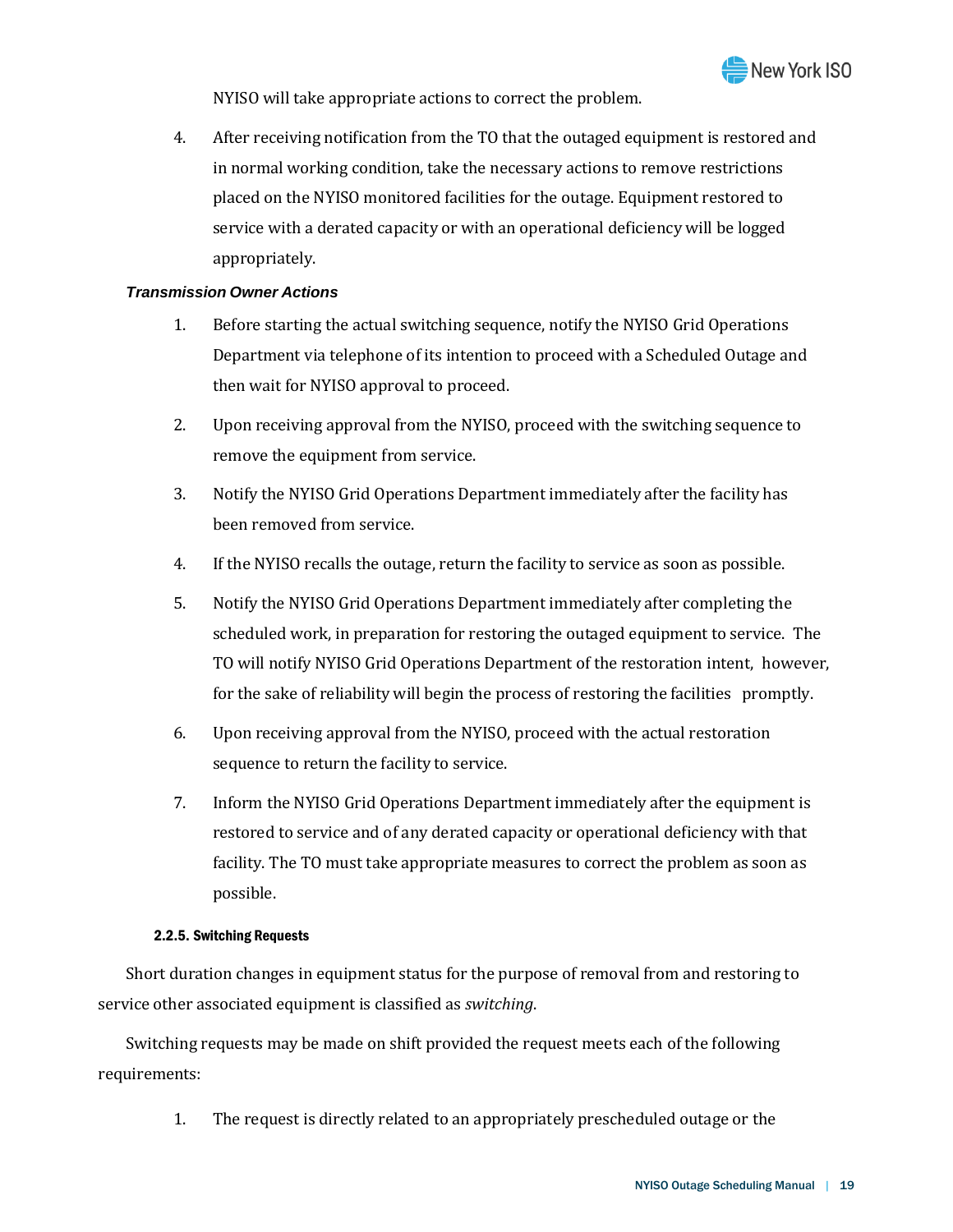

NYISO will take appropriate actions to correct the problem.

4. After receiving notification from the TO that the outaged equipment is restored and in normal working condition, take the necessary actions to remove restrictions placed on the NYISO monitored facilities for the outage. Equipment restored to service with a derated capacity or with an operational deficiency will be logged appropriately.

### *Transmission Owner Actions*

- 1. Before starting the actual switching sequence, notify the NYISO Grid Operations Department via telephone of its intention to proceed with a Scheduled Outage and then wait for NYISO approval to proceed.
- 2. Upon receiving approval from the NYISO, proceed with the switching sequence to remove the equipment from service.
- 3. Notify the NYISO Grid Operations Department immediately after the facility has been removed from service.
- 4. If the NYISO recalls the outage, return the facility to service as soon as possible.
- 5. Notify the NYISO Grid Operations Department immediately after completing the scheduled work, in preparation for restoring the outaged equipment to service. The TO will notify NYISO Grid Operations Department of the restoration intent, however, for the sake of reliability will begin the process of restoring the facilities promptly.
- 6. Upon receiving approval from the NYISO, proceed with the actual restoration sequence to return the facility to service.
- 7. Inform the NYISO Grid Operations Department immediately after the equipment is restored to service and of any derated capacity or operational deficiency with that facility. The TO must take appropriate measures to correct the problem as soon as possible.

#### 2.2.5. Switching Requests

Short duration changes in equipment status for the purpose of removal from and restoring to service other associated equipment is classified as *switching*.

Switching requests may be made on shift provided the request meets each of the following requirements:

1. The request is directly related to an appropriately prescheduled outage or the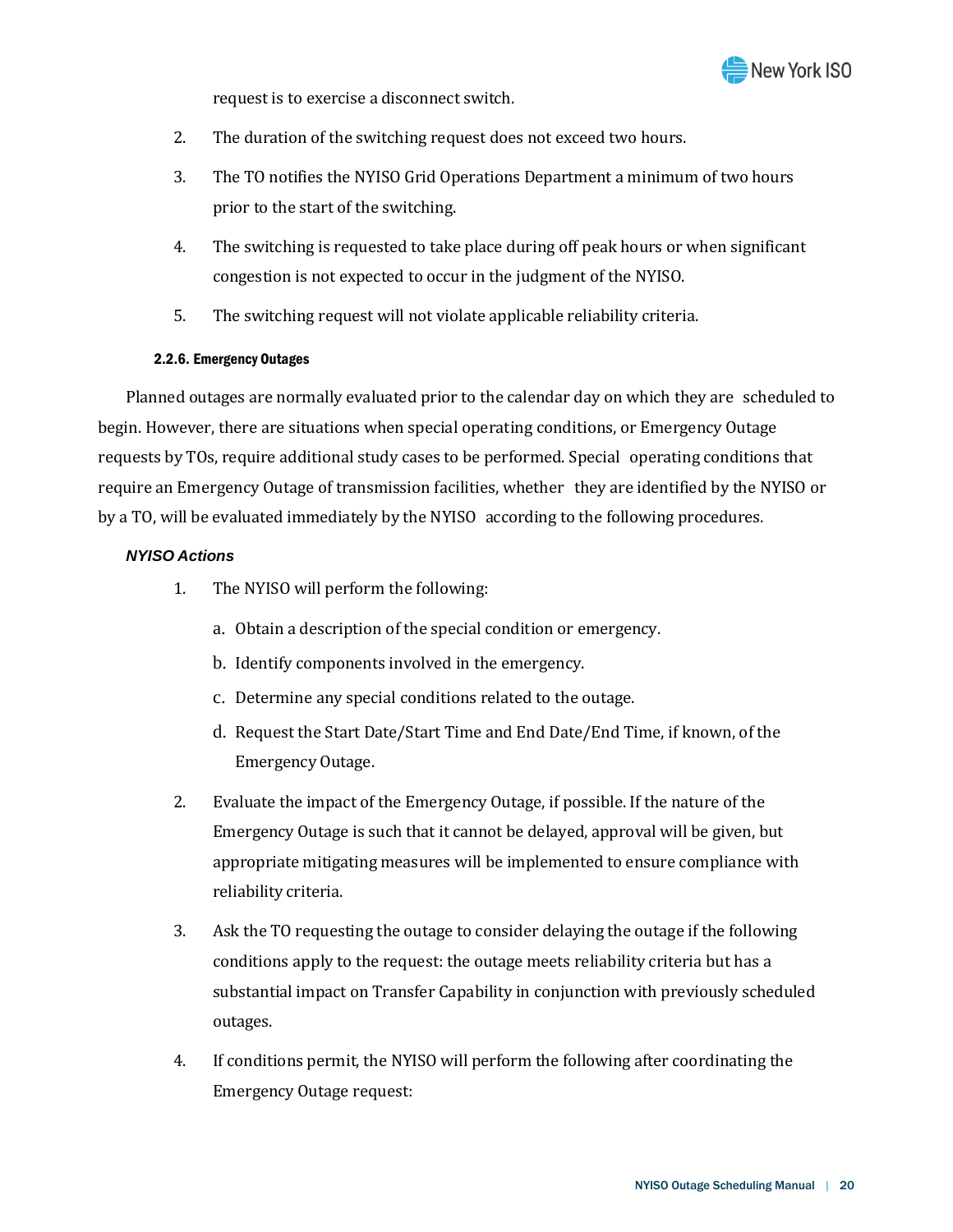

request is to exercise a disconnect switch.

- 2. The duration of the switching request does not exceed two hours.
- 3. The TO notifies the NYISO Grid Operations Department a minimum of two hours prior to the start of the switching.
- 4. The switching is requested to take place during off peak hours or when significant congestion is not expected to occur in the judgment of the NYISO.
- 5. The switching request will not violate applicable reliability criteria.

#### 2.2.6. Emergency Outages

Planned outages are normally evaluated prior to the calendar day on which they are scheduled to begin. However, there are situations when special operating conditions, or Emergency Outage requests by TOs, require additional study cases to be performed. Special operating conditions that require an Emergency Outage of transmission facilities, whether they are identified by the NYISO or by a TO, will be evaluated immediately by the NYISO according to the following procedures.

## *NYISO Actions*

- 1. The NYISO will perform the following:
	- a. Obtain a description of the special condition or emergency.
	- b. Identify components involved in the emergency.
	- c. Determine any special conditions related to the outage.
	- d. Request the Start Date/Start Time and End Date/End Time, if known, of the Emergency Outage.
- 2. Evaluate the impact of the Emergency Outage, if possible. If the nature of the Emergency Outage is such that it cannot be delayed, approval will be given, but appropriate mitigating measures will be implemented to ensure compliance with reliability criteria.
- 3. Ask the TO requesting the outage to consider delaying the outage if the following conditions apply to the request: the outage meets reliability criteria but has a substantial impact on Transfer Capability in conjunction with previously scheduled outages.
- 4. If conditions permit, the NYISO will perform the following after coordinating the Emergency Outage request: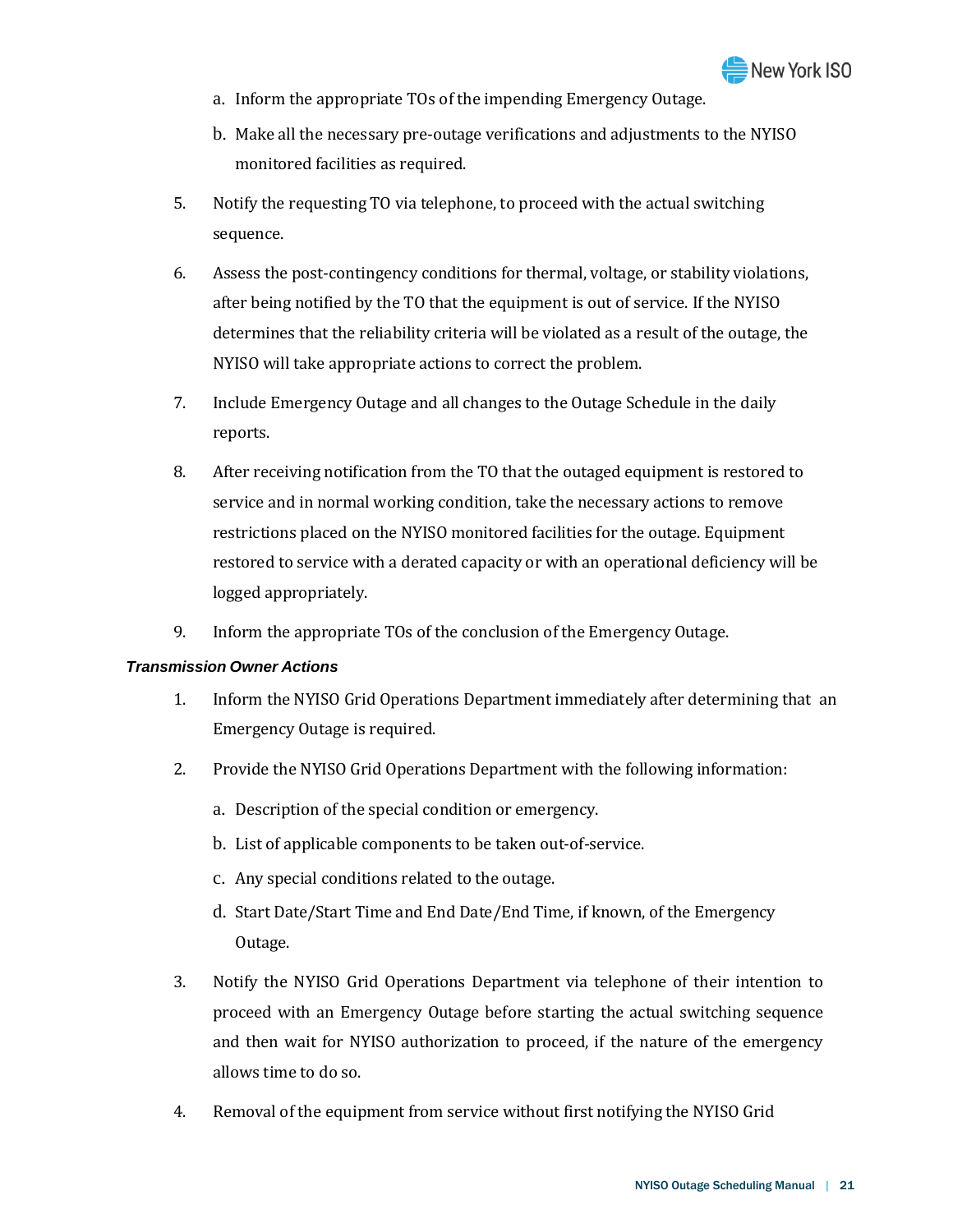

- a. Inform the appropriate TOs of the impending Emergency Outage.
- b. Make all the necessary pre-outage verifications and adjustments to the NYISO monitored facilities as required.
- 5. Notify the requesting TO via telephone, to proceed with the actual switching sequence.
- 6. Assess the post-contingency conditions for thermal, voltage, or stability violations, after being notified by the TO that the equipment is out of service. If the NYISO determines that the reliability criteria will be violated as a result of the outage, the NYISO will take appropriate actions to correct the problem.
- 7. Include Emergency Outage and all changes to the Outage Schedule in the daily reports.
- 8. After receiving notification from the TO that the outaged equipment is restored to service and in normal working condition, take the necessary actions to remove restrictions placed on the NYISO monitored facilities for the outage. Equipment restored to service with a derated capacity or with an operational deficiency will be logged appropriately.
- 9. Inform the appropriate TOs of the conclusion of the Emergency Outage.

## *Transmission Owner Actions*

- 1. Inform the NYISO Grid Operations Department immediately after determining that an Emergency Outage is required.
- 2. Provide the NYISO Grid Operations Department with the following information:
	- a. Description of the special condition or emergency.
	- b. List of applicable components to be taken out-of-service.
	- c. Any special conditions related to the outage.
	- d. Start Date/Start Time and End Date/End Time, if known, of the Emergency Outage.
- 3. Notify the NYISO Grid Operations Department via telephone of their intention to proceed with an Emergency Outage before starting the actual switching sequence and then wait for NYISO authorization to proceed, if the nature of the emergency allows time to do so.
- 4. Removal of the equipment from service without first notifying the NYISO Grid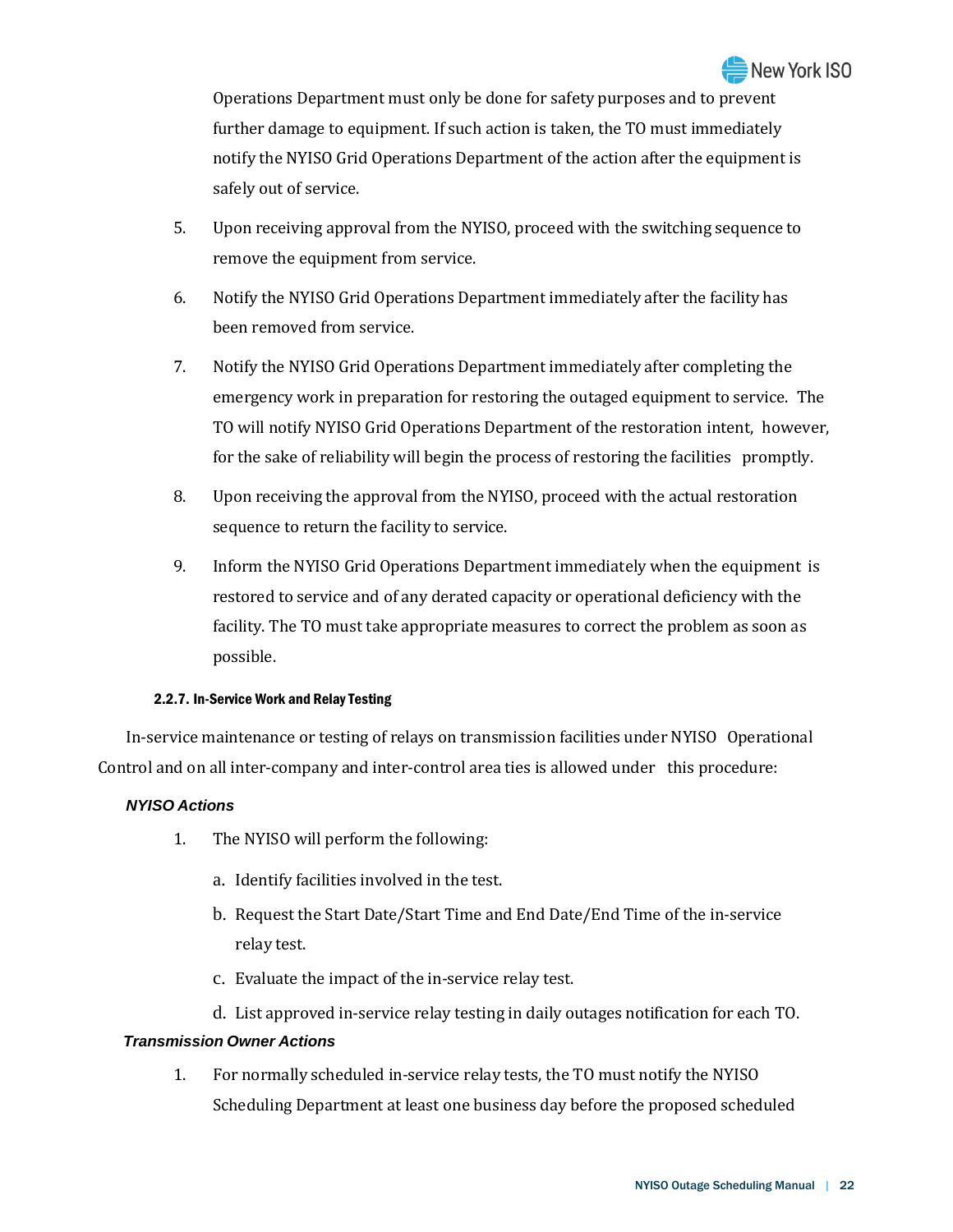Operations Department must only be done for safety purposes and to prevent further damage to equipment. If such action is taken, the TO must immediately notify the NYISO Grid Operations Department of the action after the equipment is safely out of service.

- 5. Upon receiving approval from the NYISO, proceed with the switching sequence to remove the equipment from service.
- 6. Notify the NYISO Grid Operations Department immediately after the facility has been removed from service.
- 7. Notify the NYISO Grid Operations Department immediately after completing the emergency work in preparation for restoring the outaged equipment to service. The TO will notify NYISO Grid Operations Department of the restoration intent, however, for the sake of reliability will begin the process of restoring the facilities promptly.
- 8. Upon receiving the approval from the NYISO, proceed with the actual restoration sequence to return the facility to service.
- 9. Inform the NYISO Grid Operations Department immediately when the equipment is restored to service and of any derated capacity or operational deficiency with the facility. The TO must take appropriate measures to correct the problem as soon as possible.

## 2.2.7. In-Service Work and Relay Testing

In-service maintenance or testing of relays on transmission facilities under NYISO Operational Control and on all inter-company and inter-control area ties is allowed under this procedure:

## *NYISO Actions*

- 1. The NYISO will perform the following:
	- a. Identify facilities involved in the test.
	- b. Request the Start Date/Start Time and End Date/End Time of the in-service relay test.
	- c. Evaluate the impact of the in-service relay test.
	- d. List approved in-service relay testing in daily outages notification for each TO.

## *Transmission Owner Actions*

1. For normally scheduled in-service relay tests, the TO must notify the NYISO Scheduling Department at least one business day before the proposed scheduled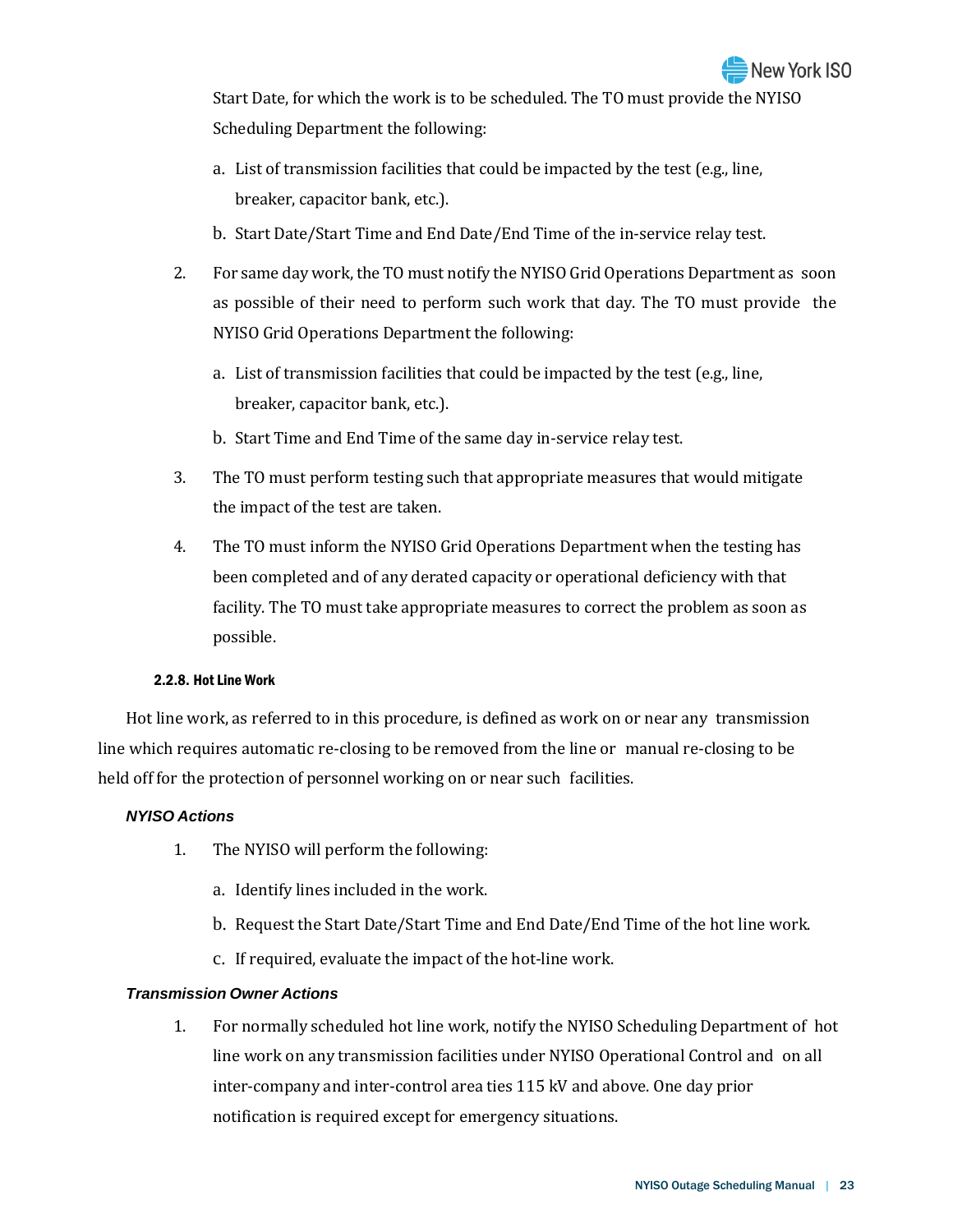Start Date, for which the work is to be scheduled. The TO must provide the NYISO Scheduling Department the following:

- a. List of transmission facilities that could be impacted by the test (e.g., line, breaker, capacitor bank, etc.).
- b. Start Date/Start Time and End Date/End Time of the in-service relay test.
- 2. For same day work, the TO must notify the NYISO Grid Operations Department as soon as possible of their need to perform such work that day. The TO must provide the NYISO Grid Operations Department the following:
	- a. List of transmission facilities that could be impacted by the test (e.g., line, breaker, capacitor bank, etc.).
	- b. Start Time and End Time of the same day in-service relay test.
- 3. The TO must perform testing such that appropriate measures that would mitigate the impact of the test are taken.
- 4. The TO must inform the NYISO Grid Operations Department when the testing has been completed and of any derated capacity or operational deficiency with that facility. The TO must take appropriate measures to correct the problem as soon as possible.

#### 2.2.8. Hot Line Work

Hot line work, as referred to in this procedure, is defined as work on or near any transmission line which requires automatic re-closing to be removed from the line or manual re-closing to be held off for the protection of personnel working on or near such facilities.

## *NYISO Actions*

- 1. The NYISO will perform the following:
	- a. Identify lines included in the work.
	- b. Request the Start Date/Start Time and End Date/End Time of the hot line work.
	- c. If required, evaluate the impact of the hot-line work.

## *Transmission Owner Actions*

1. For normally scheduled hot line work, notify the NYISO Scheduling Department of hot line work on any transmission facilities under NYISO Operational Control and on all inter-company and inter-control area ties 115 kV and above. One day prior notification is required except for emergency situations.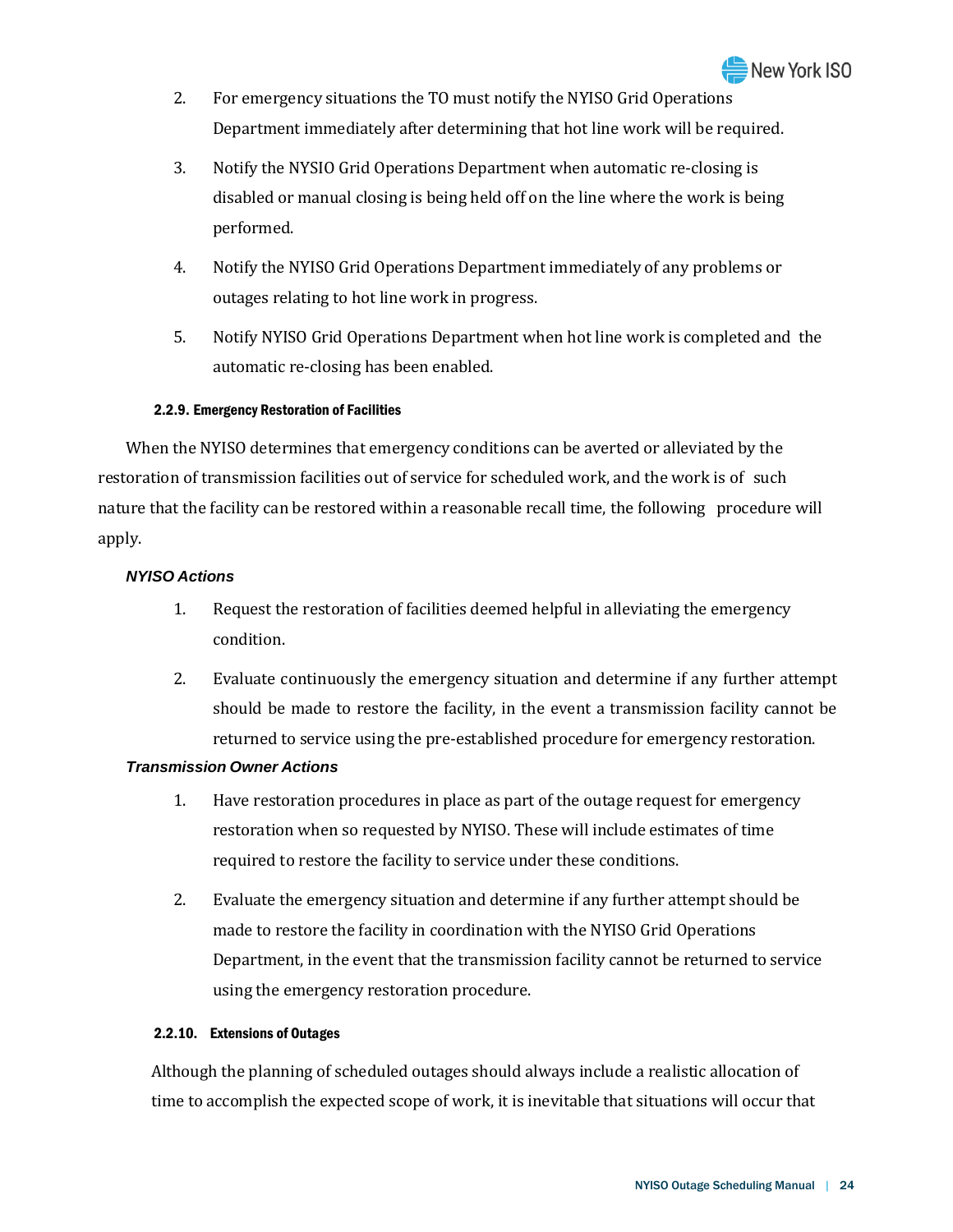- 2. For emergency situations the TO must notify the NYISO Grid Operations Department immediately after determining that hot line work will be required.
- 3. Notify the NYSIO Grid Operations Department when automatic re-closing is disabled or manual closing is being held off on the line where the work is being performed.
- 4. Notify the NYISO Grid Operations Department immediately of any problems or outages relating to hot line work in progress.
- 5. Notify NYISO Grid Operations Department when hot line work is completed and the automatic re-closing has been enabled.

## 2.2.9. Emergency Restoration of Facilities

When the NYISO determines that emergency conditions can be averted or alleviated by the restoration of transmission facilities out of service for scheduled work, and the work is of such nature that the facility can be restored within a reasonable recall time, the following procedure will apply.

## *NYISO Actions*

- 1. Request the restoration of facilities deemed helpful in alleviating the emergency condition.
- 2. Evaluate continuously the emergency situation and determine if any further attempt should be made to restore the facility, in the event a transmission facility cannot be returned to service using the pre-established procedure for emergency restoration.

## *Transmission Owner Actions*

- 1. Have restoration procedures in place as part of the outage request for emergency restoration when so requested by NYISO. These will include estimates of time required to restore the facility to service under these conditions.
- 2. Evaluate the emergency situation and determine if any further attempt should be made to restore the facility in coordination with the NYISO Grid Operations Department, in the event that the transmission facility cannot be returned to service using the emergency restoration procedure.

## 2.2.10. Extensions of Outages

Although the planning of scheduled outages should always include a realistic allocation of time to accomplish the expected scope of work, it is inevitable that situations will occur that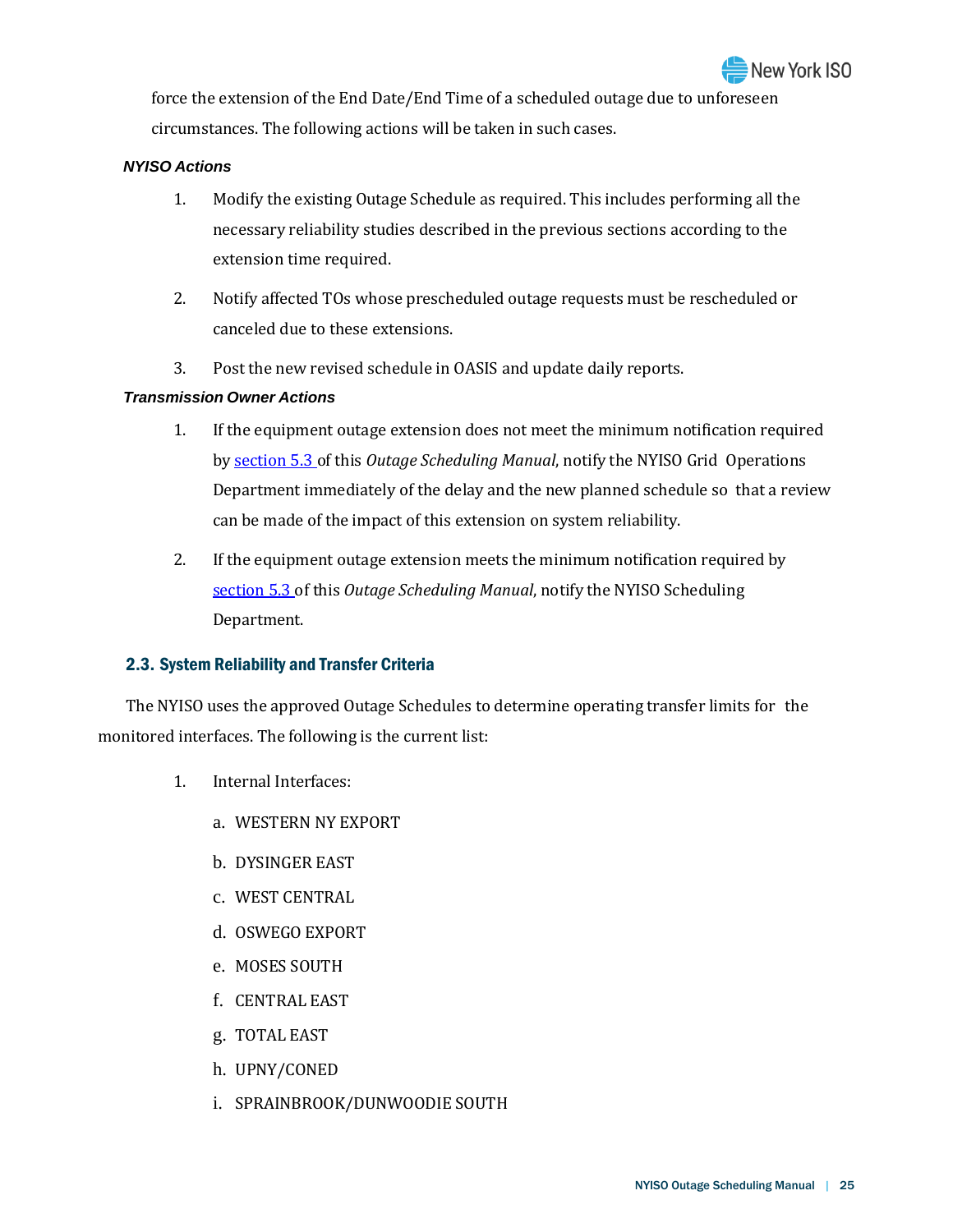force the extension of the End Date/End Time of a scheduled outage due to unforeseen circumstances. The following actions will be taken in such cases.

## *NYISO Actions*

- 1. Modify the existing Outage Schedule as required. This includes performing all the necessary reliability studies described in the previous sections according to the extension time required.
- 2. Notify affected TOs whose prescheduled outage requests must be rescheduled or canceled due to these extensions.
- 3. Post the new revised schedule in OASIS and update daily reports.

## *Transmission Owner Actions*

- 1. If the equipment outage extension does not meet the minimum notification required by [section 5.3 o](#page--1-1)f this *Outage Scheduling Manual*, notify the NYISO Grid Operations Department immediately of the delay and the new planned schedule so that a review can be made of the impact of this extension on system reliability.
- 2. If the equipment outage extension meets the minimum notification required by [section](#page--1-1) 5.3 of this *Outage Scheduling Manual*, notify the NYISO Scheduling Department.

## <span id="page-14-0"></span>2.3. System Reliability and Transfer Criteria

The NYISO uses the approved Outage Schedules to determine operating transfer limits for the monitored interfaces. The following is the current list:

- 1. Internal Interfaces:
	- a. WESTERN NY EXPORT
	- b. DYSINGER EAST
	- c. WEST CENTRAL
	- d. OSWEGO EXPORT
	- e. MOSES SOUTH
	- f. CENTRAL EAST
	- g. TOTAL EAST
	- h. UPNY/CONED
	- i. SPRAINBROOK/DUNWOODIE SOUTH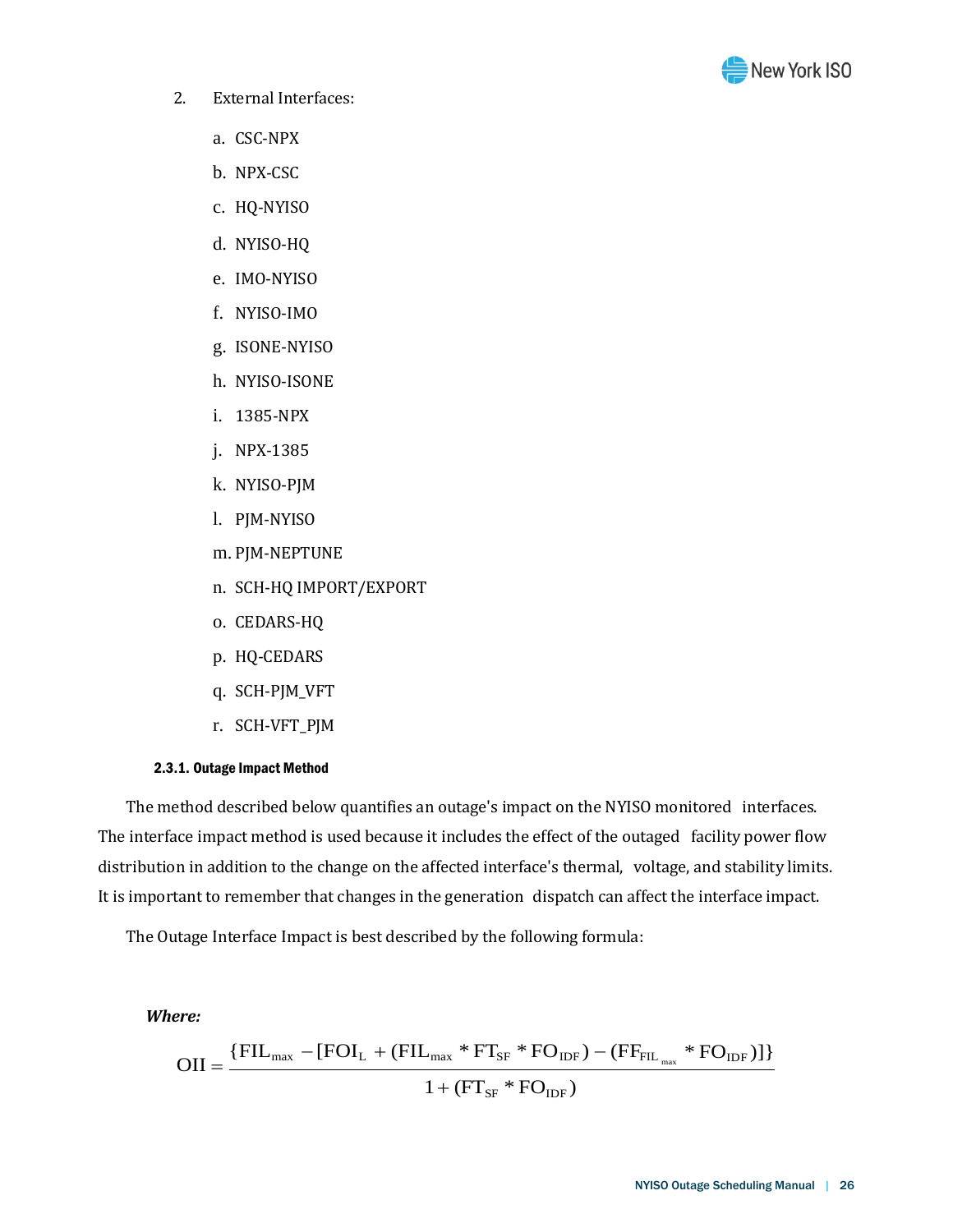

- 2. External Interfaces:
	- a. CSC-NPX
	- b. NPX-CSC
	- c. HQ-NYISO
	- d. NYISO-HQ
	- e. IMO-NYISO
	- f. NYISO-IMO
	- g. ISONE-NYISO
	- h. NYISO-ISONE
	- i. 1385-NPX
	- j. NPX-1385
	- k. NYISO-PJM
	- l. PJM-NYISO
	- m. PJM-NEPTUNE
	- n. SCH-HQ IMPORT/EXPORT
	- o. CEDARS-HQ
	- p. HQ-CEDARS
	- q. SCH-PJM\_VFT
	- r. SCH-VFT\_PJM

#### 2.3.1. Outage Impact Method

The method described below quantifies an outage's impact on the NYISO monitored interfaces. The interface impact method is used because it includes the effect of the outaged facility power flow distribution in addition to the change on the affected interface's thermal, voltage, and stability limits. It is important to remember that changes in the generation dispatch can affect the interface impact.

The Outage Interface Impact is best described by the following formula:

#### *Where:*

$$
OII = \frac{\{FIL_{\text{max}} - [FOI_L + (FIL_{\text{max}} * FT_{SF} * FO_{IDF}) - (FF_{FIL_{\text{max}}} * FO_{IDF})]\}}{1 + (FT_{SF} * FO_{IDF})}
$$